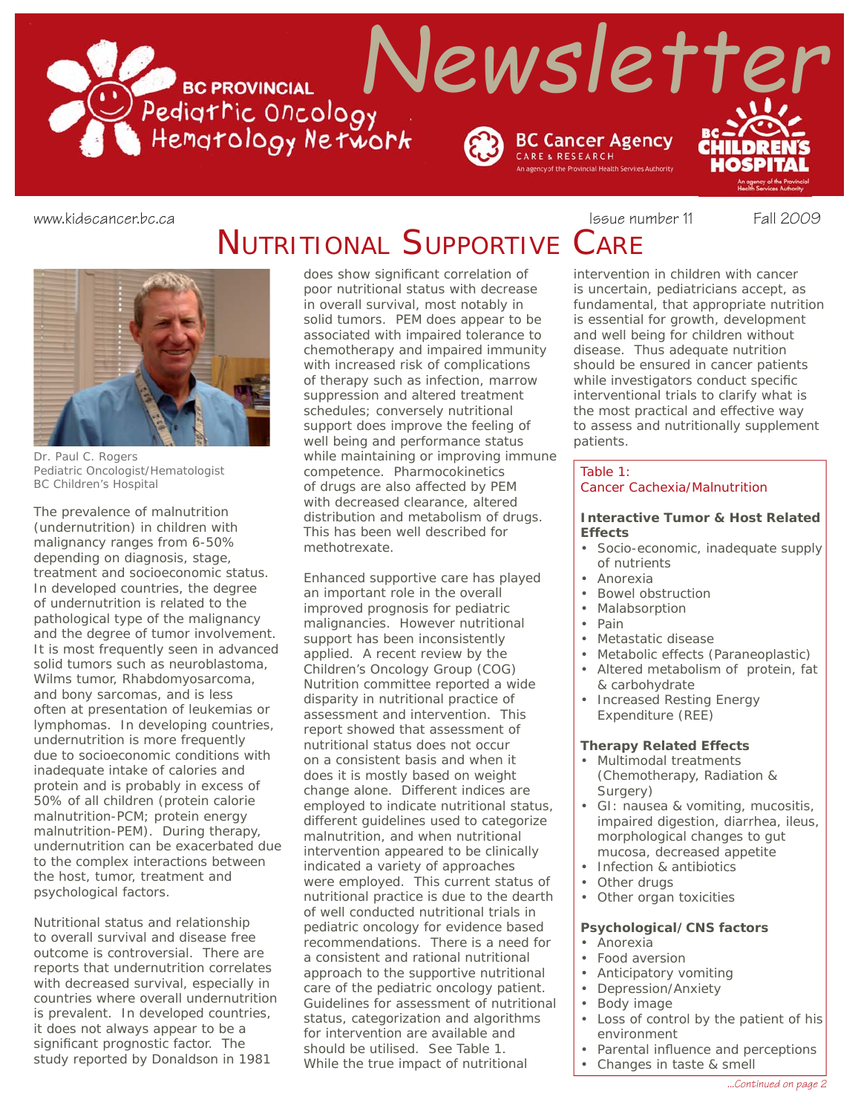

# NUTRITIONAL SUPPORTIVE CARE

*Dr. Paul C. Rogers Pediatric Oncologist/Hematologist BC Children's Hospital*

The prevalence of malnutrition (undernutrition) in children with malignancy ranges from 6-50% depending on diagnosis, stage, treatment and socioeconomic status. In developed countries, the degree of undernutrition is related to the pathological type of the malignancy and the degree of tumor involvement. It is most frequently seen in advanced solid tumors such as neuroblastoma, Wilms tumor, Rhabdomyosarcoma, and bony sarcomas, and is less often at presentation of leukemias or lymphomas. In developing countries, undernutrition is more frequently due to socioeconomic conditions with inadequate intake of calories and protein and is probably in excess of 50% of all children (protein calorie malnutrition-PCM; protein energy malnutrition-PEM). During therapy, undernutrition can be exacerbated due to the complex interactions between the host, tumor, treatment and psychological factors.

Nutritional status and relationship to overall survival and disease free outcome is controversial. There are reports that undernutrition correlates with decreased survival, especially in countries where overall undernutrition is prevalent. In developed countries, it does not always appear to be a significant prognostic factor. The study reported by Donaldson in 1981

does show significant correlation of poor nutritional status with decrease in overall survival, most notably in solid tumors. PEM does appear to be associated with impaired tolerance to chemotherapy and impaired immunity with increased risk of complications of therapy such as infection, marrow suppression and altered treatment schedules; conversely nutritional support does improve the feeling of well being and performance status while maintaining or improving immune competence. Pharmocokinetics of drugs are also affected by PEM with decreased clearance, altered distribution and metabolism of drugs. This has been well described for methotrexate.

Enhanced supportive care has played an important role in the overall improved prognosis for pediatric malignancies. However nutritional support has been inconsistently applied. A recent review by the Children's Oncology Group (COG) Nutrition committee reported a wide disparity in nutritional practice of assessment and intervention. This report showed that assessment of nutritional status does not occur on a consistent basis and when it does it is mostly based on weight change alone. Different indices are employed to indicate nutritional status, different guidelines used to categorize malnutrition, and when nutritional intervention appeared to be clinically indicated a variety of approaches were employed. This current status of nutritional practice is due to the dearth of well conducted nutritional trials in pediatric oncology for evidence based recommendations. There is a need for a consistent and rational nutritional approach to the supportive nutritional care of the pediatric oncology patient. Guidelines for assessment of nutritional status, categorization and algorithms for intervention are available and should be utilised. See Table 1. While the true impact of nutritional

www.kidscancer.bc.ca **Issue 11** Fall 2009

intervention in children with cancer is uncertain, pediatricians accept, as fundamental, that appropriate nutrition is essential for growth, development and well being for children without disease. Thus adequate nutrition should be ensured in cancer patients while investigators conduct specific interventional trials to clarify what is the most practical and effective way to assess and nutritionally supplement patients.

#### Table 1:

#### Cancer Cachexia/Malnutrition

#### *Interactive Tumor & Host Related Effects*

- Socio-economic, inadequate supply of nutrients
- Anorexia
- Bowel obstruction
- **Malabsorption**
- Pain
- Metastatic disease
- Metabolic effects (Paraneoplastic)
- Altered metabolism of protein, fat & carbohydrate
- Increased Resting Energy Expenditure (REE)

## *Therapy Related Effects*

- Multimodal treatments (Chemotherapy, Radiation & Surgery)
- GI: nausea & vomiting, mucositis, impaired digestion, diarrhea, ileus, morphological changes to gut mucosa, decreased appetite
- Infection & antibiotics
- Other drugs
- Other organ toxicities

## *Psychological/CNS factors*

- Anorexia
- Food aversion
- Anticipatory vomiting
- Depression/Anxiety
- Body image
- Loss of control by the patient of his environment
- Parental influence and perceptions
	- Changes in taste & smell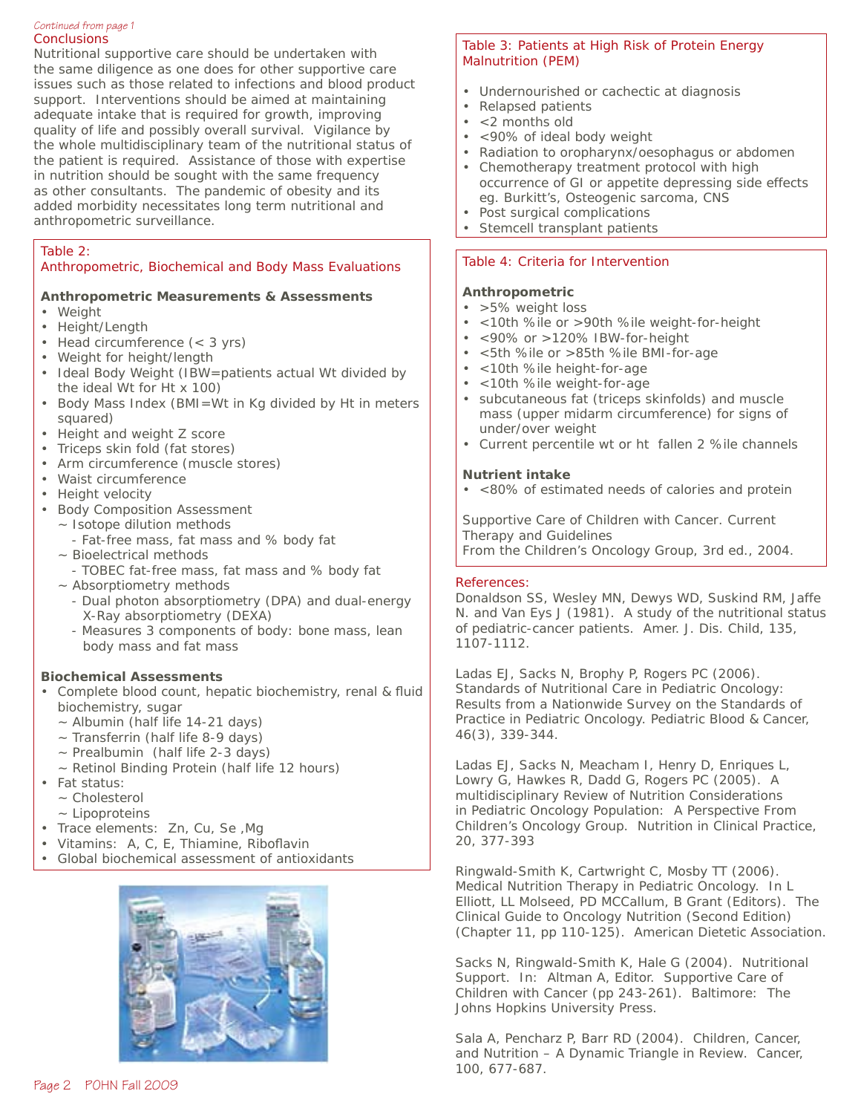#### **Conclusions** *Continued from page 1*

Nutritional supportive care should be undertaken with the same diligence as one does for other supportive care issues such as those related to infections and blood product support. Interventions should be aimed at maintaining adequate intake that is required for growth, improving quality of life and possibly overall survival. Vigilance by the whole multidisciplinary team of the nutritional status of the patient is required. Assistance of those with expertise in nutrition should be sought with the same frequency as other consultants. The pandemic of obesity and its added morbidity necessitates long term nutritional and anthropometric surveillance.

## Table 2:

Anthropometric, Biochemical and Body Mass Evaluations

## *Anthropometric Measurements & Assessments*

- Weight
- Height/Length
- Head circumference (< 3 yrs)
- Weight for height/length
- Ideal Body Weight (IBW=patients actual Wt divided by the ideal Wt for Ht x 100)
- Body Mass Index (BMI=Wt in Kg divided by Ht in meters squared)
- Height and weight Z score
- Triceps skin fold (fat stores)
- Arm circumference (muscle stores)
- Waist circumference
- Height velocity
- Body Composition Assessment
- ~ Isotope dilution methods
	- Fat-free mass, fat mass and % body fat
	- ~ Bioelectrical methods
	- TOBEC fat-free mass, fat mass and % body fat
	- ~ Absorptiometry methods
		- Dual photon absorptiometry (DPA) and dual-energy X-Ray absorptiometry (DEXA)
		- Measures 3 components of body: bone mass, lean body mass and fat mass

## *Biochemical Assessments*

- Complete blood count, hepatic biochemistry, renal & fluid biochemistry, sugar
	- ~ Albumin (half life 14-21 days)
	- ~ Transferrin (half life 8-9 days)
	- $\sim$  Prealbumin (half life 2-3 days)
	- ~ Retinol Binding Protein (half life 12 hours)
- Fat status:
	- ~ Cholesterol
	- ~ Lipoproteins
- Trace elements: Zn, Cu, Se ,Mg
- Vitamins:  $A, C, E,$  Thiamine, Riboflavin
- Global biochemical assessment of antioxidants



## Table 3: Patients at High Risk of Protein Energy Malnutrition (PEM)

- Undernourished or cachectic at diagnosis
- Relapsed patients
- <2 months old
- <90% of ideal body weight
- Radiation to oropharynx/oesophagus or abdomen
- Chemotherapy treatment protocol with high occurrence of GI or appetite depressing side effects eg. Burkitt's, Osteogenic sarcoma, CNS
- Post surgical complications
- Stemcell transplant patients

## Table 4: Criteria for Intervention

## *Anthropometric*

- >5% weight loss
- <10th %ile or >90th %ile weight-for-height
- <90% or >120% IBW-for-height
- <5th %ile or >85th %ile BMI-for-age
- <10th %ile height-for-age
- <10th %ile weight-for-age
- subcutaneous fat (triceps skinfolds) and muscle mass (upper midarm circumference) for signs of under/over weight
- Current percentile wt or ht fallen 2 %ile channels

## *Nutrient intake*

• <80% of estimated needs of calories and protein

*Supportive Care of Children with Cancer. Current Therapy and Guidelines From the Children's Oncology Group, 3rd ed., 2004.*

## References:

Donaldson SS, Wesley MN, Dewys WD, Suskind RM, Jaffe N. and Van Eys J (1981). A study of the nutritional status of pediatric-cancer patients. Amer. J. Dis. Child, 135, 1107-1112.

Ladas EJ, Sacks N, Brophy P, Rogers PC (2006). Standards of Nutritional Care in Pediatric Oncology: Results from a Nationwide Survey on the Standards of Practice in Pediatric Oncology. Pediatric Blood & Cancer, 46(3), 339-344.

Ladas EJ, Sacks N, Meacham I, Henry D, Enriques L, Lowry G, Hawkes R, Dadd G, Rogers PC (2005). A multidisciplinary Review of Nutrition Considerations in Pediatric Oncology Population: A Perspective From Children's Oncology Group. Nutrition in Clinical Practice, 20, 377-393

Ringwald-Smith K, Cartwright C, Mosby TT (2006). Medical Nutrition Therapy in Pediatric Oncology. In L Elliott, LL Molseed, PD MCCallum, B Grant (Editors). The Clinical Guide to Oncology Nutrition (Second Edition) (Chapter 11, pp 110-125). American Dietetic Association.

Sacks N, Ringwald-Smith K, Hale G (2004). Nutritional Support. In: Altman A, Editor. Supportive Care of Children with Cancer (pp 243-261). Baltimore: The Johns Hopkins University Press.

Sala A, Pencharz P, Barr RD (2004). Children, Cancer, and Nutrition – A Dynamic Triangle in Review. Cancer, 100, 677-687.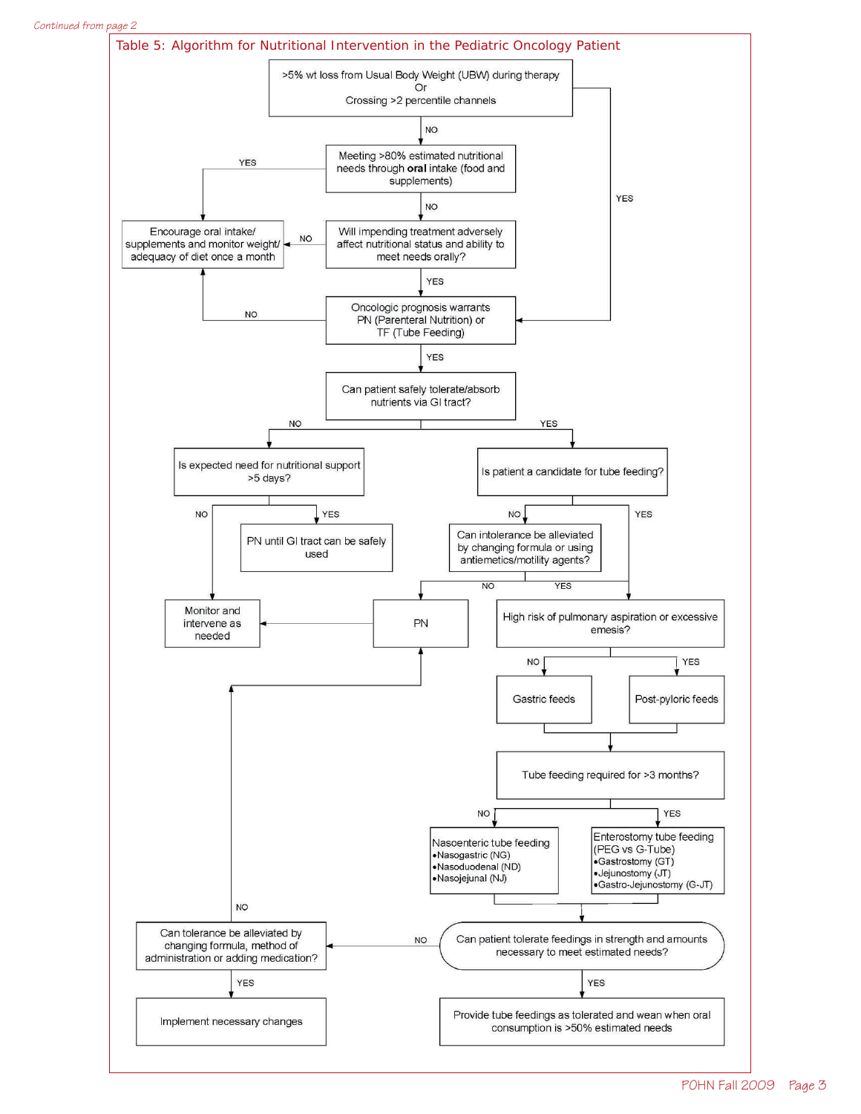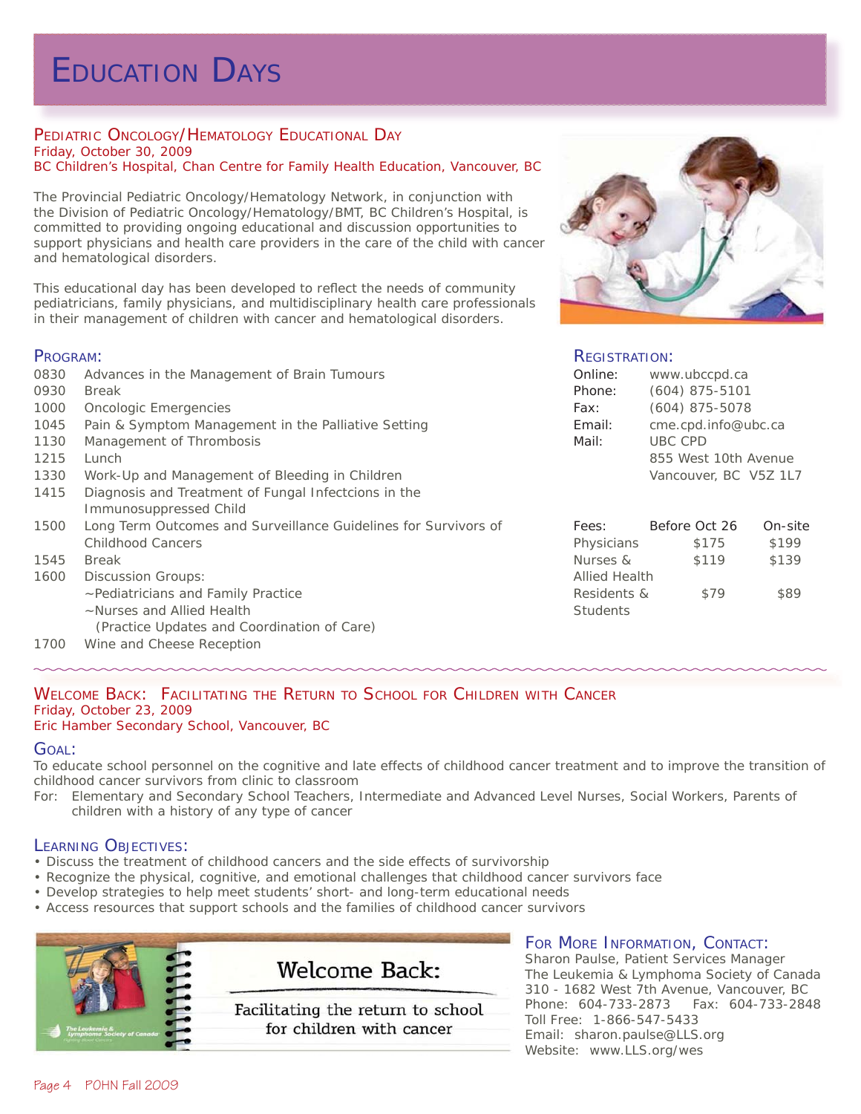# EDUCATION DAYS

#### PEDIATRIC ONCOLOGY/HEMATOLOGY EDUCATIONAL DAY Friday, October 30, 2009 BC Children's Hospital, Chan Centre for Family Health Education, Vancouver, BC

The Provincial Pediatric Oncology/Hematology Network, in conjunction with the Division of Pediatric Oncology/Hematology/BMT, BC Children's Hospital, is committed to providing ongoing educational and discussion opportunities to support physicians and health care providers in the care of the child with cancer and hematological disorders.

This educational day has been developed to reflect the needs of community pediatricians, family physicians, and multidisciplinary health care professionals in their management of children with cancer and hematological disorders.

## PROGRAM:

0830 Advances in the Management of Brain Tumours 0930 *Break* 1000 Oncologic Emergencies 1045 Pain & Symptom Management in the Palliative Setting 1130 Management of Thrombosis 1215 *Lunch* 1330 Work-Up and Management of Bleeding in Children 1415 Diagnosis and Treatment of Fungal Infectcions in the Immunosuppressed Child 1500 Long Term Outcomes and Surveillance Guidelines for Survivors of Childhood Cancers 1545 *Break* 1600 Discussion Groups: ~Pediatricians and Family Practice ~Nurses and Allied Health (Practice Updates and Coordination of Care) 1700 *Wine and Cheese Reception*



## REGISTRATION:

| www.ubccpd.ca         |
|-----------------------|
| $(604)$ 875-5101      |
| $(604)$ 875-5078      |
| cme.cpd.info@ubc.ca   |
| <b>UBC CPD</b>        |
| 855 West 10th Avenue  |
| Vancouver, BC V5Z 1L7 |
|                       |

| Fees:                | Before Oct 26 | On-site |
|----------------------|---------------|---------|
| Physicians           | \$175         | \$199   |
| Nurses &             | \$119         | \$139   |
| <b>Allied Health</b> |               |         |
| Residents &          | \$79          | \$89    |
| <b>Students</b>      |               |         |

#### WELCOME BACK: FACILITATING THE RETURN TO SCHOOL FOR CHILDREN WITH CANCER Friday, October 23, 2009 Eric Hamber Secondary School, Vancouver, BC

## GOAL:

To educate school personnel on the cognitive and late effects of childhood cancer treatment and to improve the transition of childhood cancer survivors from clinic to classroom

For: Elementary and Secondary School Teachers, Intermediate and Advanced Level Nurses, Social Workers, Parents of children with a history of any type of cancer

## LEARNING OBJECTIVES:

- Discuss the treatment of childhood cancers and the side effects of survivorship
- Recognize the physical, cognitive, and emotional challenges that childhood cancer survivors face
- Develop strategies to help meet students' short- and long-term educational needs
- Access resources that support schools and the families of childhood cancer survivors



## FOR MORE INFORMATION, CONTACT:

Sharon Paulse, Patient Services Manager The Leukemia & Lymphoma Society of Canada 310 - 1682 West 7th Avenue, Vancouver, BC Phone: 604-733-2873 Fax: 604-733-2848 Toll Free: 1-866-547-5433 Email: sharon.paulse@LLS.org Website: www.LLS.org/wes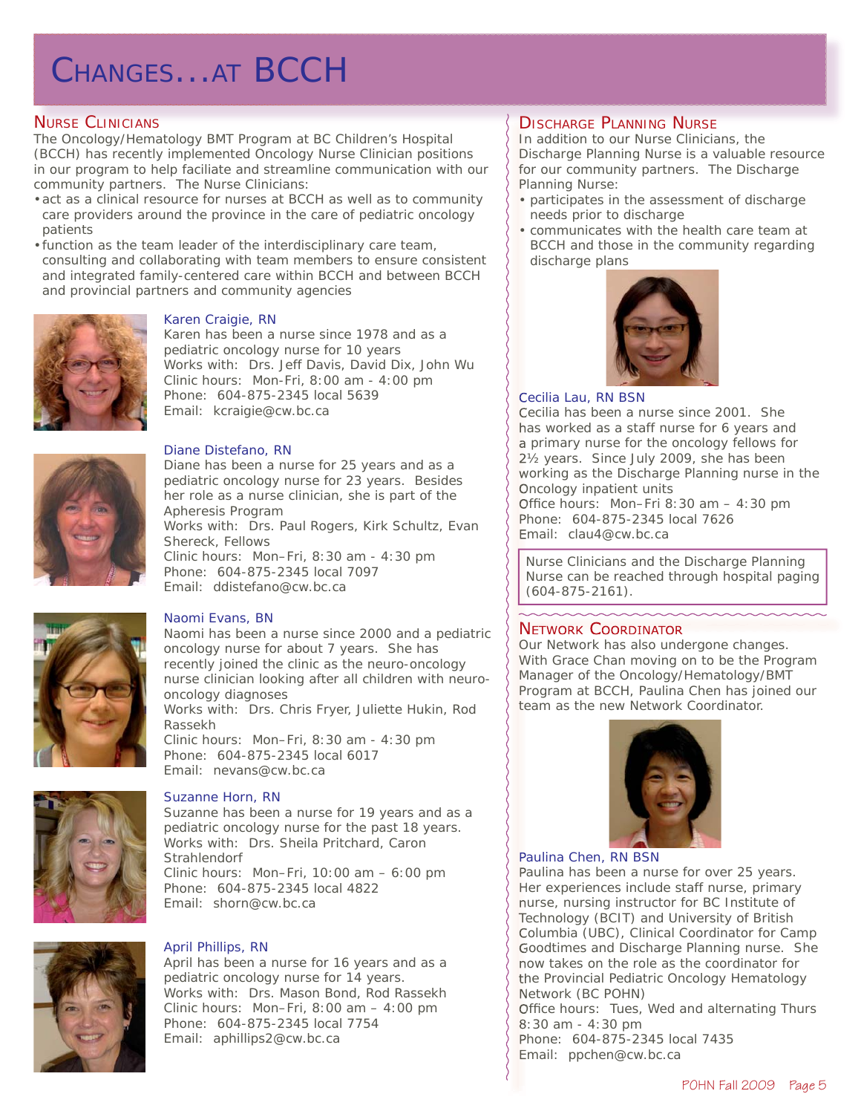# CHANGES...AT BCCH

## NURSE CLINICIANS

The Oncology/Hematology BMT Program at BC Children's Hospital (BCCH) has recently implemented Oncology Nurse Clinician positions in our program to help faciliate and streamline communication with our community partners. The Nurse Clinicians:

- act as a clinical resource for nurses at BCCH as well as to community care providers around the province in the care of pediatric oncology patients
- function as the team leader of the interdisciplinary care team, consulting and collaborating with team members to ensure consistent and integrated family-centered care within BCCH and between BCCH and provincial partners and community agencies



## Karen Craigie, RN

Karen has been a nurse since 1978 and as a pediatric oncology nurse for 10 years Works with: Drs. Jeff Davis, David Dix, John Wu Clinic hours: Mon-Fri, 8:00 am - 4:00 pm Phone: 604-875-2345 local 5639 Email: kcraigie@cw.bc.ca



#### Diane Distefano, RN

Diane has been a nurse for 25 years and as a pediatric oncology nurse for 23 years. Besides her role as a nurse clinician, she is part of the Apheresis Program Works with: Drs. Paul Rogers, Kirk Schultz, Evan Shereck, Fellows Clinic hours: Mon–Fri, 8:30 am - 4:30 pm Phone: 604-875-2345 local 7097 Email: ddistefano@cw.bc.ca



## Naomi Evans, BN

Naomi has been a nurse since 2000 and a pediatric oncology nurse for about 7 years. She has recently joined the clinic as the neuro-oncology nurse clinician looking after all children with neurooncology diagnoses Works with: Drs. Chris Fryer, Juliette Hukin, Rod Rassekh Clinic hours: Mon–Fri, 8:30 am - 4:30 pm Phone: 604-875-2345 local 6017 Email: nevans@cw.bc.ca



## Suzanne Horn, RN

Suzanne has been a nurse for 19 years and as a pediatric oncology nurse for the past 18 years. Works with: Drs. Sheila Pritchard, Caron **Strahlendorf** Clinic hours: Mon–Fri, 10:00 am – 6:00 pm Phone: 604-875-2345 local 4822 Email: shorn@cw.bc.ca

## April Phillips, RN

April has been a nurse for 16 years and as a pediatric oncology nurse for 14 years. Works with: Drs. Mason Bond, Rod Rassekh Clinic hours: Mon–Fri, 8:00 am – 4:00 pm Phone: 604-875-2345 local 7754 Email: aphillips2@cw.bc.ca

## **DISCHARGE PLANNING NURSE**

In addition to our Nurse Clinicians, the Discharge Planning Nurse is a valuable resource for our community partners. The Discharge Planning Nurse:

- participates in the assessment of discharge needs prior to discharge
- communicates with the health care team at BCCH and those in the community regarding discharge plans



## Cecilia Lau, RN BSN

Cecilia has been a nurse since 2001. She has worked as a staff nurse for 6 years and a primary nurse for the oncology fellows for 2½ years. Since July 2009, she has been working as the Discharge Planning nurse in the Oncology inpatient units

Office hours: Mon–Fri 8:30 am  $-$  4:30 pm Phone: 604-875-2345 local 7626 Email: clau4@cw.bc.ca

*Nurse Clinicians and the Discharge Planning Nurse can be reached through hospital paging (604-875-2161).*

## NETWORK COORDINATOR

Our Network has also undergone changes. With Grace Chan moving on to be the Program Manager of the Oncology/Hematology/BMT Program at BCCH, Paulina Chen has joined our team as the new Network Coordinator.



## Paulina Chen, RN BSN

Paulina has been a nurse for over 25 years. Her experiences include staff nurse, primary nurse, nursing instructor for BC Institute of Technology (BCIT) and University of British Columbia (UBC), Clinical Coordinator for Camp Goodtimes and Discharge Planning nurse. She now takes on the role as the coordinator for the Provincial Pediatric Oncology Hematology Network (BC POHN)

Office hours: Tues, Wed and alternating Thurs 8:30 am - 4:30 pm

Phone: 604-875-2345 local 7435 Email: ppchen@cw.bc.ca